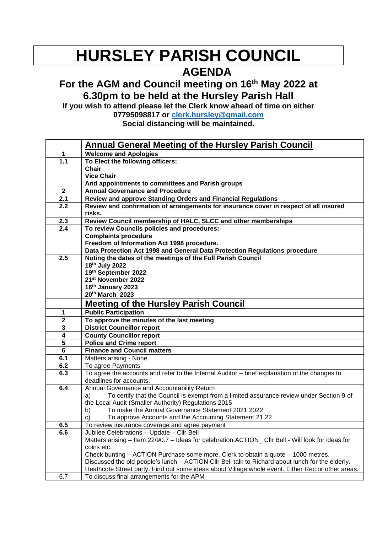## **HURSLEY PARISH COUNCIL**

## **AGENDA**

## **For the AGM and Council meeting on 16th May 2022 at 6.30pm to be held at the Hursley Parish Hall**

**If you wish to attend please let the Clerk know ahead of time on either 07795098817 or [clerk.hursley@gmail.com](mailto:clerk.hursley@gmail.com)**

**Social distancing will be maintained.** 

|                         | <b>Annual General Meeting of the Hursley Parish Council</b>                                                                               |
|-------------------------|-------------------------------------------------------------------------------------------------------------------------------------------|
| 1                       | <b>Welcome and Apologies</b>                                                                                                              |
| 1.1                     | To Elect the following officers:                                                                                                          |
|                         | Chair                                                                                                                                     |
|                         | <b>Vice Chair</b>                                                                                                                         |
|                         | And appointments to committees and Parish groups                                                                                          |
| $\overline{2}$          | <b>Annual Governance and Procedure</b>                                                                                                    |
| 2.1                     | Review and approve Standing Orders and Financial Regulations                                                                              |
| 2.2                     | Review and confirmation of arrangements for insurance cover in respect of all insured                                                     |
|                         | risks.                                                                                                                                    |
| 2.3                     | Review Council membership of HALC, SLCC and other memberships                                                                             |
| 2.4                     | To review Councils policies and procedures:                                                                                               |
|                         | <b>Complaints procedure</b>                                                                                                               |
|                         | Freedom of Information Act 1998 procedure.                                                                                                |
| 2.5                     | Data Protection Act 1998 and General Data Protection Regulations procedure<br>Noting the dates of the meetings of the Full Parish Council |
|                         | 18 <sup>th</sup> July 2022                                                                                                                |
|                         | 19th September 2022                                                                                                                       |
|                         | 21st November 2022                                                                                                                        |
|                         | 16th January 2023                                                                                                                         |
|                         | 20th March 2023                                                                                                                           |
|                         | <b>Meeting of the Hursley Parish Council</b>                                                                                              |
| 1                       | <b>Public Participation</b>                                                                                                               |
| $\overline{\mathbf{2}}$ | To approve the minutes of the last meeting                                                                                                |
| 3                       | <b>District Councillor report</b>                                                                                                         |
| $\overline{\mathbf{4}}$ | <b>County Councillor report</b>                                                                                                           |
| 5                       | <b>Police and Crime report</b>                                                                                                            |
| 6                       | <b>Finance and Council matters</b>                                                                                                        |
| 6.1                     | Matters arising - None                                                                                                                    |
| 6.2                     | To agree Payments                                                                                                                         |
| 6.3                     | To agree the accounts and refer to the Internal Auditor - brief explanation of the changes to                                             |
|                         | deadlines for accounts.                                                                                                                   |
| 6.4                     | Annual Governance and Accountability Return                                                                                               |
|                         | To certify that the Council is exempt from a limited assurance review under Section 9 of<br>a)                                            |
|                         | the Local Audit (Smaller Authority) Regulations 2015                                                                                      |
|                         | To make the Annual Governance Statement 2021 2022<br>b)                                                                                   |
|                         | c)<br>To approve Accounts and the Accounting Statement 21 22                                                                              |
| 6.5                     | To review insurance coverage and agree payment                                                                                            |
| 6.6                     | Jubilee Celebrations - Update - Cllr Bell                                                                                                 |
|                         | Matters arising - Item 22/90.7 - Ideas for celebration ACTION_ CIIr Bell - Will look for ideas for                                        |
|                         | coins etc.                                                                                                                                |
|                         | Check bunting – ACTION Purchase some more. Clerk to obtain a quote – 1000 metres.                                                         |
|                         | Discussed the old people's lunch - ACTION CIIr Bell talk to Richard about lunch for the elderly.                                          |
|                         | Heathcote Street party. Find out some ideas about Village whole event. Either Rec or other areas.                                         |
| 6.7                     | To discuss final arrangements for the APM                                                                                                 |